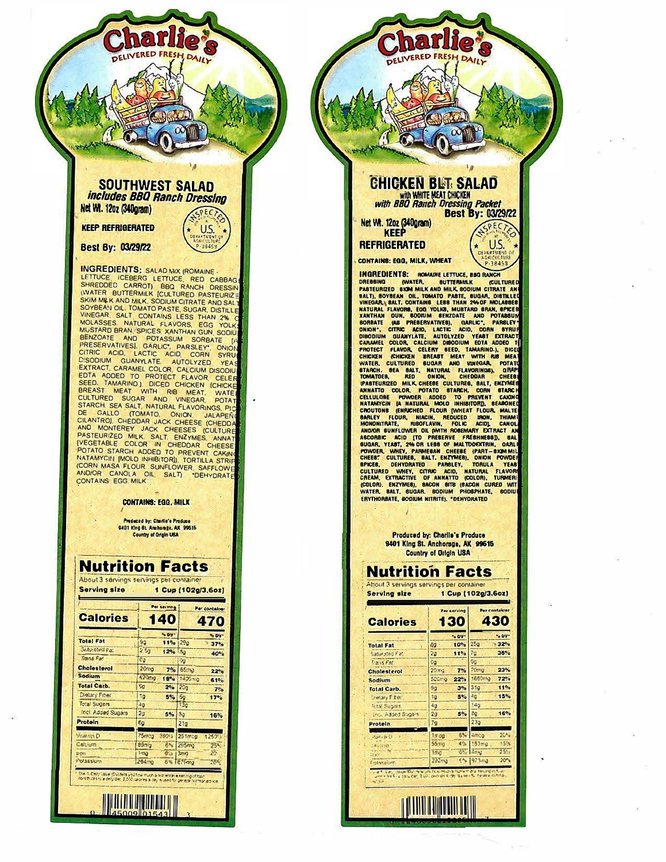#### **SOUTHWEST SALAD** includes BBQ Ranch Dressing Net Wt. 120z (340gram)

U.S.

arli

**KEEP REFRIGERATED** 

**Best By: 03/29/22** 

INGREDIENTS: SALAD MIX (ROMAINE, LETTUCE, ICEBERG LETTUCE, RED CABBAGIC SHREDDED CARROT), BBQ RANCH DRESSIN (WATER MIX SKIM MIK AND MILK SOULD TRANS ESS THAN 2% COVERAN UNLIVEGAR, SALT CONNOTING LESS THAN 2% COVERAN CULTUR **INGREDIENTS: SALAD MIX (ROMAINE** NATAMYCIN [MOLD INHIBITOR]), TORTILLA STRIF **CORN MASA FLOUR, SUNFLOWER, SAFFLOWER** CONTAINS' EGG. MILK

**CONTAINS: EGG, MILK** 

Produced by: Charlie's Produce<br>9401 King St. Anchorage, AK 99515 Country of Origin USA

## **Nutrition Facts**

| <b>About a sorvings servings per communer</b><br><b>Serving size</b> | 1 Cup (102g/3,6oz) |              |  |  |
|----------------------------------------------------------------------|--------------------|--------------|--|--|
|                                                                      | Per serving        | Per contains |  |  |
| Calorias                                                             | <b>1401</b>        | $\mathbf{A}$ |  |  |

|                    |                  | . .        |                  | 23 A J           |  |
|--------------------|------------------|------------|------------------|------------------|--|
|                    |                  | S DV-      |                  | % DV             |  |
| <b>Total Fat</b>   | 99               | 11%        | 299              | 37%              |  |
| Stifurated Fat     | 2.50             | $12%$ $30$ |                  | 40%              |  |
| Trans Fat          | Ća               |            | $\gamma_2$       |                  |  |
| <b>Cholesterol</b> | 20mg             | 7%         | 65m <sub>0</sub> | 22%              |  |
| Sodium             | 420cxx           | 18%        | 140Gmg           | 61%              |  |
| <b>Total Carb.</b> | <b>SS</b>        | 296        | 20 <sub>a</sub>  | 7° <sub>o</sub>  |  |
| Digiary Fiber      | 19               | 5%         | 5 <sub>2</sub>   | 17° <sub>o</sub> |  |
| Total Sugars       | 49               |            | 73c              |                  |  |
| Incl. Added Sugars | 2g               | 5%         | 8a               | 16%              |  |
| Protein            | 6g               |            | 21 <sub>0</sub>  |                  |  |
| Vilanda D          | <b>75mzg</b>     | 380%5      | 251msc           | 1253';           |  |
| Calcium            | 89 <sub>mg</sub> | 6%         | 295mg            | 25%              |  |
| $k$ CVI            | <b>Ima</b>       | 6.5        | 3 <sub>mg</sub>  | $25^{\circ}$     |  |
| Polassium          | 254.30           |            | 641879m3         | $20 -$           |  |

**THE REAL PROPERTY OF A** 

# **CHICKEN BIST SALAD**

harli

with WHITE MEAT CHICKEN<br>with BBQ Ranch Dressing Packet **Best By: 03/29/22** 

PECT

U.S.

 $0.39A$ 

Net Wt. 1202 (340gram)

### **REFRIGERATED**

CONTAINS: EGG, MILK, WHEAT

INGREDIENTES: ROMAINE LETTUCE, BIG RANCHI<br>
DRESSING (WATER, BUTTERANK (CULTURED<br>
PASTEURIZED SKAN MILK AND MILK SODUM CITRATIE AND<br>
BALT), BOYGEAN OIL, TOMAIND PASTE, BUGAR, DISTRILLET<br>
VINEGAR, SALT, CONTAINS LEGS THAN 29 **INGREDIENTS: ROMAINE LETTUCE, BBQ RANCH** MATAMYCIN (A NATURAL MOLO INHISITOR), GEABONE<br>CROUTONG (ENDEVELOP FLOUR MILITED, CANALTE<br>BARLEY FLOUR, MIACIN, REDUCED 190N, MALTE<br>MONONITAATE, RISOFLAVIN, FOLIC ACID, CANOL<br>ARCORABY EXPIRE RISOFLAVIN, FOLIC ACID, CANOL<br>AR ERYTHORBATE, GOOIUM NITRITE). "DENYDRATEO

> Produced by: Charlie's Produce 9401 King St. Anchorage, AK 99615 Country of Origin USA

### **Nutrition Facts**

About 3 servings servings per container Serving size 1 Cup (102g/3.6oz)

| <b>Calories</b>             |                  | Fer sorving<br>130 |                              | Per container<br>430 |  |
|-----------------------------|------------------|--------------------|------------------------------|----------------------|--|
|                             |                  | "> DV"             |                              | * DV-                |  |
| <b>Total Fat</b>            | 8g               | 10%                | 25a                          | 32%                  |  |
| Saturated Fat               | 2 <sub>2</sub>   | 11%                | 79                           | 36%                  |  |
| Trans Fat                   | Ōa               |                    | 0o                           |                      |  |
| <b>Chainsterol</b>          | 20 <sub>ma</sub> | 7%                 | 70 <sub>ma</sub>             | 23%                  |  |
| Sodium                      | 500mg            | 22%                | 1660mg                       | 72%                  |  |
| <b>Total Carb.</b>          | 9 <sub>q</sub>   | 39 <sub>o</sub>    | 31 <sub>Q</sub>              | 11%                  |  |
| Cletary Fiber               | 19               | 5%                 | 40                           | 15%                  |  |
| <b>Tetal Sugars</b>         | 49               |                    | 140                          |                      |  |
| Inc., Added Sugars          | $2\pi$           | 5%                 | 8g                           | 16%                  |  |
| Protein                     | 79               |                    | 230                          |                      |  |
| <b>Rame to Lt</b>           | 14.00            |                    | 6% Jamco                     | 20°                  |  |
| $-$ And then<br>$A = 15.15$ | <b>55110</b>     | 4.36               | 193 <sub>π<sub>c</sub></sub> | 15%                  |  |
| 11924                       | 1.TrC            |                    | 8% 4nw                       | 25:                  |  |
| Potessium                   | 292mg            |                    | E% 973mg                     | 20 <sub>2</sub>      |  |

**TILITI ILI SEDELLI SUOLUI ILI SUOLUI ILI SUOLUI ILI SUOLUI ILI SUOLUI ILI SUOLUI ILI SUOLUI ILI SUOLUI ILI SUO**